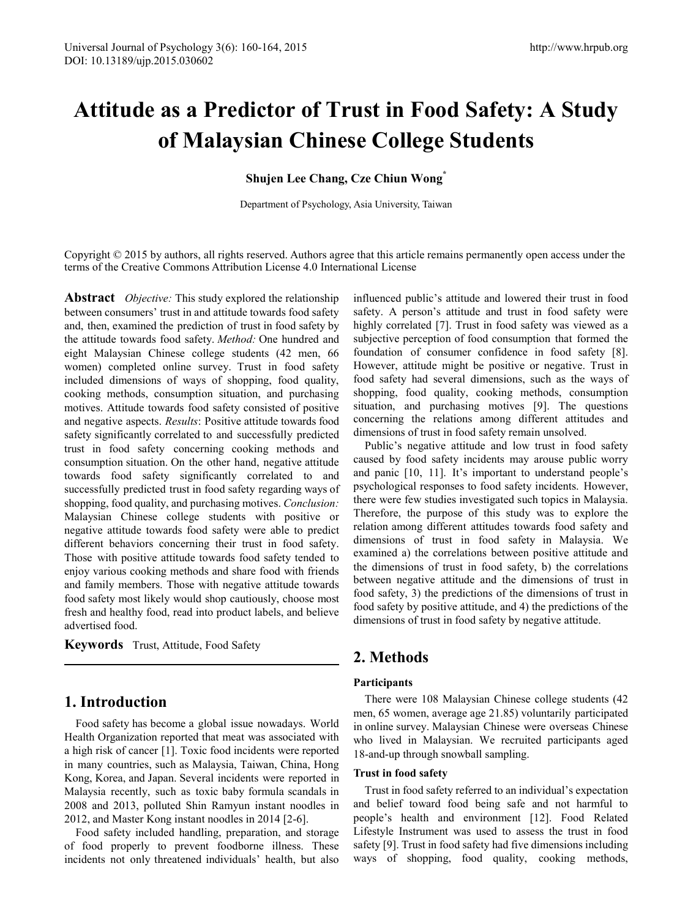# **Attitude as a Predictor of Trust in Food Safety: A Study of Malaysian Chinese College Students**

#### **Shujen Lee Chang, Cze Chiun Wong\***

Department of Psychology, Asia University, Taiwan

Copyright © 2015 by authors, all rights reserved. Authors agree that this article remains permanently open access under the terms of the Creative Commons Attribution License 4.0 International License

**Abstract** *Objective:* This study explored the relationship between consumers' trust in and attitude towards food safety and, then, examined the prediction of trust in food safety by the attitude towards food safety. *Method:* One hundred and eight Malaysian Chinese college students (42 men, 66 women) completed online survey. Trust in food safety included dimensions of ways of shopping, food quality, cooking methods, consumption situation, and purchasing motives. Attitude towards food safety consisted of positive and negative aspects. *Results*: Positive attitude towards food safety significantly correlated to and successfully predicted trust in food safety concerning cooking methods and consumption situation. On the other hand, negative attitude towards food safety significantly correlated to and successfully predicted trust in food safety regarding ways of shopping, food quality, and purchasing motives. *Conclusion:* Malaysian Chinese college students with positive or negative attitude towards food safety were able to predict different behaviors concerning their trust in food safety. Those with positive attitude towards food safety tended to enjoy various cooking methods and share food with friends and family members. Those with negative attitude towards food safety most likely would shop cautiously, choose most fresh and healthy food, read into product labels, and believe advertised food.

**Keywords** Trust, Attitude, Food Safety

### **1. Introduction**

Food safety has become a global issue nowadays. World Health Organization reported that meat was associated with a high risk of cancer [1]. Toxic food incidents were reported in many countries, such as Malaysia, Taiwan, China, Hong Kong, Korea, and Japan. Several incidents were reported in Malaysia recently, such as toxic baby formula scandals in 2008 and 2013, polluted Shin Ramyun instant noodles in 2012, and Master Kong instant noodles in 2014 [2-6].

Food safety included handling, preparation, and storage of food properly to prevent foodborne illness. These incidents not only threatened individuals' health, but also

influenced public's attitude and lowered their trust in food safety. A person's attitude and trust in food safety were highly correlated [7]. Trust in food safety was viewed as a subjective perception of food consumption that formed the foundation of consumer confidence in food safety [8]. However, attitude might be positive or negative. Trust in food safety had several dimensions, such as the ways of shopping, food quality, cooking methods, consumption situation, and purchasing motives [9]. The questions concerning the relations among different attitudes and dimensions of trust in food safety remain unsolved.

Public's negative attitude and low trust in food safety caused by food safety incidents may arouse public worry and panic [10, 11]. It's important to understand people's psychological responses to food safety incidents. However, there were few studies investigated such topics in Malaysia. Therefore, the purpose of this study was to explore the relation among different attitudes towards food safety and dimensions of trust in food safety in Malaysia. We examined a) the correlations between positive attitude and the dimensions of trust in food safety, b) the correlations between negative attitude and the dimensions of trust in food safety, 3) the predictions of the dimensions of trust in food safety by positive attitude, and 4) the predictions of the dimensions of trust in food safety by negative attitude.

# **2. Methods**

#### **Participants**

There were 108 Malaysian Chinese college students (42 men, 65 women, average age 21.85) voluntarily participated in online survey. Malaysian Chinese were overseas Chinese who lived in Malaysian. We recruited participants aged 18-and-up through snowball sampling.

#### **Trust in food safety**

Trust in food safety referred to an individual's expectation and belief toward food being safe and not harmful to people's health and environment [12]. Food Related Lifestyle Instrument was used to assess the trust in food safety [9]. Trust in food safety had five dimensions including ways of shopping, food quality, cooking methods,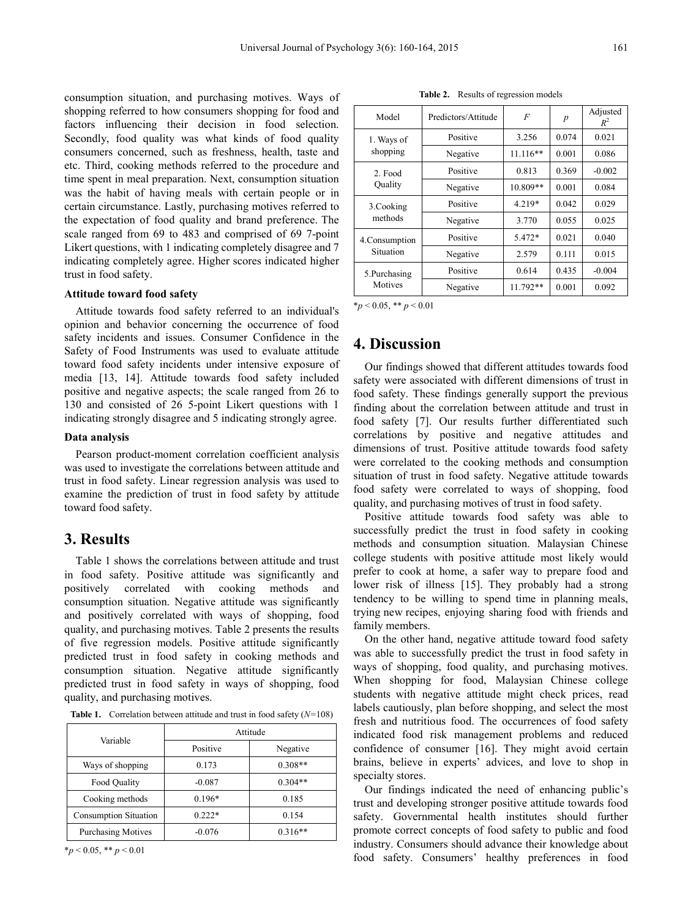consumption situation, and purchasing motives. Ways of shopping referred to how consumers shopping for food and factors influencing their decision in food selection. Secondly, food quality was what kinds of food quality consumers concerned, such as freshness, health, taste and etc. Third, cooking methods referred to the procedure and time spent in meal preparation. Next, consumption situation was the habit of having meals with certain people or in certain circumstance. Lastly, purchasing motives referred to the expectation of food quality and brand preference. The scale ranged from 69 to 483 and comprised of 69 7-point Likert questions, with 1 indicating completely disagree and 7 indicating completely agree. Higher scores indicated higher trust in food safety.

#### **Attitude toward food safety**

Attitude towards food safety referred to an individual's opinion and behavior concerning the occurrence of food safety incidents and issues. Consumer Confidence in the Safety of Food Instruments was used to evaluate attitude toward food safety incidents under intensive exposure of media [13, 14]. Attitude towards food safety included positive and negative aspects; the scale ranged from 26 to 130 and consisted of 26 5-point Likert questions with 1 indicating strongly disagree and 5 indicating strongly agree.

#### **Data analysis**

Pearson product-moment correlation coefficient analysis was used to investigate the correlations between attitude and trust in food safety. Linear regression analysis was used to examine the prediction of trust in food safety by attitude toward food safety.

#### **3. Results**

Table 1 shows the correlations between attitude and trust in food safety. Positive attitude was significantly and positively correlated with cooking methods and consumption situation. Negative attitude was significantly and positively correlated with ways of shopping, food quality, and purchasing motives. Table 2 presents the results of five regression models. Positive attitude significantly predicted trust in food safety in cooking methods and consumption situation. Negative attitude significantly predicted trust in food safety in ways of shopping, food quality, and purchasing motives.

**Table 1.** Correlation between attitude and trust in food safety (*N=*108)

|                              | Attitude |           |  |
|------------------------------|----------|-----------|--|
| Variable                     | Positive | Negative  |  |
| Ways of shopping             | 0.173    | $0.308**$ |  |
| Food Quality                 | $-0.087$ | $0.304**$ |  |
| Cooking methods              | $0.196*$ | 0.185     |  |
| <b>Consumption Situation</b> | $0.222*$ | 0.154     |  |
| <b>Purchasing Motives</b>    | $-0.076$ | $0.316**$ |  |

 $*_{p}$  < 0.05, \*\*  $p$  < 0.01

**Table 2.** Results of regression models

| Model                   | Predictors/Attitude | F          | $\overline{p}$ | Adjusted<br>$R^2$ |
|-------------------------|---------------------|------------|----------------|-------------------|
| 1. Ways of              | Positive            | 3.256      | 0.074          | 0.021             |
| shopping                | Negative            | $11.116**$ | 0.001          | 0.086             |
| 2. Food<br>Quality      | Positive            | 0.813      | 0.369          | $-0.002$          |
|                         | Negative            | 10.809**   | 0.001          | 0.084             |
| 3.Cooking               | Positive            | 4.219*     | 0.042          | 0.029             |
| methods                 | Negative            | 3.770      | 0.055          | 0.025             |
| 4. Consumption          | Positive            | 5.472*     | 0.021          | 0.040             |
| Situation               | Negative            | 2.579      | 0.111          | 0.015             |
| 5.Purchasing<br>Motives | Positive            | 0.614      | 0.435          | $-0.004$          |
|                         | Negative            | $11.792**$ | 0.001          | 0.092             |

 $*_p$  < 0.05,  $*_p$  < 0.01

#### **4. Discussion**

Our findings showed that different attitudes towards food safety were associated with different dimensions of trust in food safety. These findings generally support the previous finding about the correlation between attitude and trust in food safety [7]. Our results further differentiated such correlations by positive and negative attitudes and dimensions of trust. Positive attitude towards food safety were correlated to the cooking methods and consumption situation of trust in food safety. Negative attitude towards food safety were correlated to ways of shopping, food quality, and purchasing motives of trust in food safety.

Positive attitude towards food safety was able to successfully predict the trust in food safety in cooking methods and consumption situation. Malaysian Chinese college students with positive attitude most likely would prefer to cook at home, a safer way to prepare food and lower risk of illness [15]. They probably had a strong tendency to be willing to spend time in planning meals, trying new recipes, enjoying sharing food with friends and family members.

On the other hand, negative attitude toward food safety was able to successfully predict the trust in food safety in ways of shopping, food quality, and purchasing motives. When shopping for food, Malaysian Chinese college students with negative attitude might check prices, read labels cautiously, plan before shopping, and select the most fresh and nutritious food. The occurrences of food safety indicated food risk management problems and reduced confidence of consumer [16]. They might avoid certain brains, believe in experts' advices, and love to shop in specialty stores.

Our findings indicated the need of enhancing public's trust and developing stronger positive attitude towards food safety. Governmental health institutes should further promote correct concepts of food safety to public and food industry. Consumers should advance their knowledge about food safety. Consumers' healthy preferences in food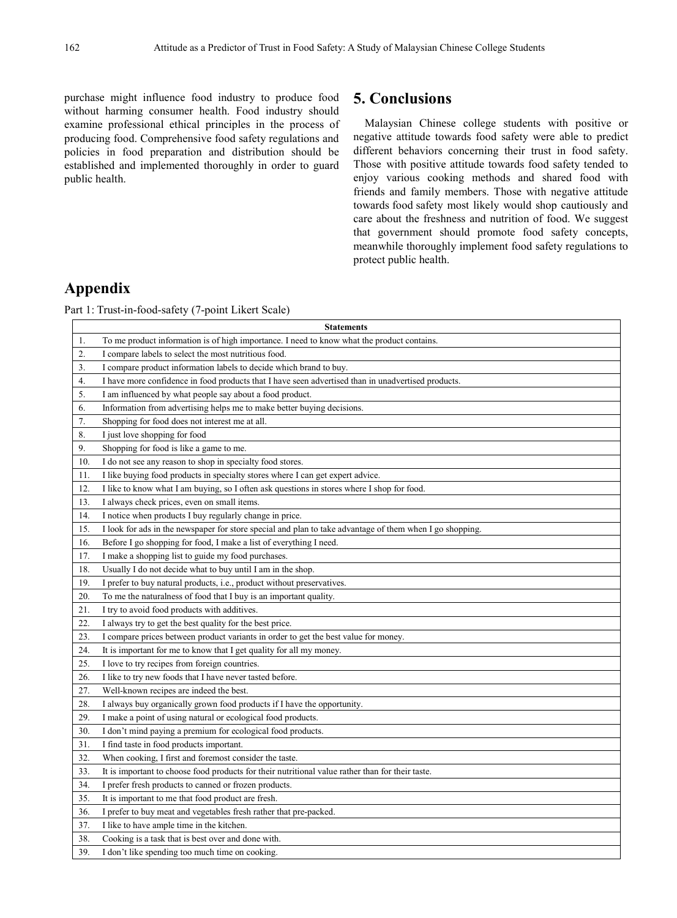purchase might influence food industry to produce food without harming consumer health. Food industry should examine professional ethical principles in the process of producing food. Comprehensive food safety regulations and policies in food preparation and distribution should be established and implemented thoroughly in order to guard public health.

# **5. Conclusions**

Malaysian Chinese college students with positive or negative attitude towards food safety were able to predict different behaviors concerning their trust in food safety. Those with positive attitude towards food safety tended to enjoy various cooking methods and shared food with friends and family members. Those with negative attitude towards food safety most likely would shop cautiously and care about the freshness and nutrition of food. We suggest that government should promote food safety concepts, meanwhile thoroughly implement food safety regulations to protect public health.

# **Appendix**

Part 1: Trust-in-food-safety (7-point Likert Scale)

|                  | <b>Statements</b>                                                                                        |
|------------------|----------------------------------------------------------------------------------------------------------|
| 1.               | To me product information is of high importance. I need to know what the product contains.               |
| $\overline{2}$ . | I compare labels to select the most nutritious food.                                                     |
| 3.               | I compare product information labels to decide which brand to buy.                                       |
| 4.               | I have more confidence in food products that I have seen advertised than in unadvertised products.       |
| 5.               | I am influenced by what people say about a food product.                                                 |
| 6.               | Information from advertising helps me to make better buying decisions.                                   |
| 7.               | Shopping for food does not interest me at all.                                                           |
| 8.               | I just love shopping for food                                                                            |
| 9.               | Shopping for food is like a game to me.                                                                  |
| 10.              | I do not see any reason to shop in specialty food stores.                                                |
| 11.              | I like buying food products in specialty stores where I can get expert advice.                           |
| 12.              | I like to know what I am buying, so I often ask questions in stores where I shop for food.               |
| 13.              | I always check prices, even on small items.                                                              |
| 14.              | I notice when products I buy regularly change in price.                                                  |
| 15.              | I look for ads in the newspaper for store special and plan to take advantage of them when I go shopping. |
| 16.              | Before I go shopping for food, I make a list of everything I need.                                       |
| 17.              | I make a shopping list to guide my food purchases.                                                       |
| 18.              | Usually I do not decide what to buy until I am in the shop.                                              |
| 19.              | I prefer to buy natural products, i.e., product without preservatives.                                   |
| 20.              | To me the naturalness of food that I buy is an important quality.                                        |
| 21.              | I try to avoid food products with additives.                                                             |
| 22.              | I always try to get the best quality for the best price.                                                 |
| 23.              | I compare prices between product variants in order to get the best value for money.                      |
| 24.              | It is important for me to know that I get quality for all my money.                                      |
| 25.              | I love to try recipes from foreign countries.                                                            |
| 26.              | I like to try new foods that I have never tasted before.                                                 |
| 27.              | Well-known recipes are indeed the best.                                                                  |
| 28.              | I always buy organically grown food products if I have the opportunity.                                  |
| 29.              | I make a point of using natural or ecological food products.                                             |
| 30.              | I don't mind paying a premium for ecological food products.                                              |
| 31.              | I find taste in food products important.                                                                 |
| 32.              | When cooking, I first and foremost consider the taste.                                                   |
| 33.              | It is important to choose food products for their nutritional value rather than for their taste.         |
| 34.              | I prefer fresh products to canned or frozen products.                                                    |
| 35.              | It is important to me that food product are fresh.                                                       |
| 36.              | I prefer to buy meat and vegetables fresh rather that pre-packed.                                        |
| 37.              | I like to have ample time in the kitchen.                                                                |
| 38.              | Cooking is a task that is best over and done with.                                                       |
| 39.              | I don't like spending too much time on cooking.                                                          |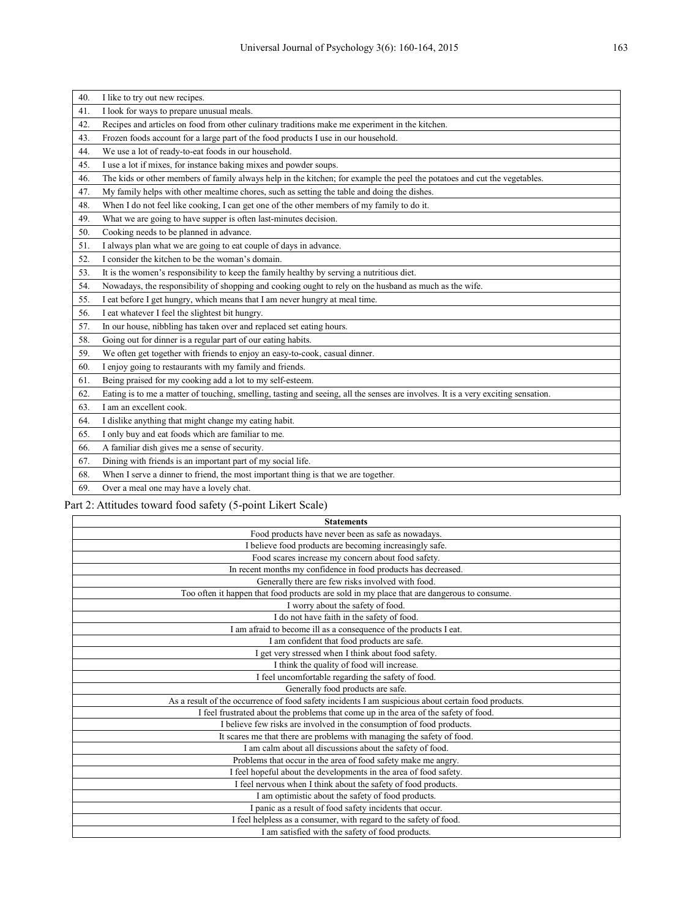| 40. | I like to try out new recipes.                                                                                                    |
|-----|-----------------------------------------------------------------------------------------------------------------------------------|
| 41. | I look for ways to prepare unusual meals.                                                                                         |
| 42. | Recipes and articles on food from other culinary traditions make me experiment in the kitchen.                                    |
| 43. | Frozen foods account for a large part of the food products I use in our household.                                                |
| 44. | We use a lot of ready-to-eat foods in our household.                                                                              |
| 45. | I use a lot if mixes, for instance baking mixes and powder soups.                                                                 |
| 46. | The kids or other members of family always help in the kitchen; for example the peel the potatoes and cut the vegetables.         |
| 47. | My family helps with other mealtime chores, such as setting the table and doing the dishes.                                       |
| 48. | When I do not feel like cooking, I can get one of the other members of my family to do it.                                        |
| 49. | What we are going to have supper is often last-minutes decision.                                                                  |
| 50. | Cooking needs to be planned in advance.                                                                                           |
| 51. | I always plan what we are going to eat couple of days in advance.                                                                 |
| 52. | I consider the kitchen to be the woman's domain.                                                                                  |
| 53. | It is the women's responsibility to keep the family healthy by serving a nutritious diet.                                         |
| 54. | Nowadays, the responsibility of shopping and cooking ought to rely on the husband as much as the wife.                            |
| 55. | I eat before I get hungry, which means that I am never hungry at meal time.                                                       |
| 56. | I eat whatever I feel the slightest bit hungry.                                                                                   |
| 57. | In our house, nibbling has taken over and replaced set eating hours.                                                              |
| 58. | Going out for dinner is a regular part of our eating habits.                                                                      |
| 59. | We often get together with friends to enjoy an easy-to-cook, casual dinner.                                                       |
| 60. | I enjoy going to restaurants with my family and friends.                                                                          |
| 61. | Being praised for my cooking add a lot to my self-esteem.                                                                         |
| 62. | Eating is to me a matter of touching, smelling, tasting and seeing, all the senses are involves. It is a very exciting sensation. |
| 63. | I am an excellent cook.                                                                                                           |
| 64. | I dislike anything that might change my eating habit.                                                                             |
| 65. | I only buy and eat foods which are familiar to me.                                                                                |
| 66. | A familiar dish gives me a sense of security.                                                                                     |
| 67. | Dining with friends is an important part of my social life.                                                                       |
| 68. | When I serve a dinner to friend, the most important thing is that we are together.                                                |
| 69. | Over a meal one may have a lovely chat.                                                                                           |

# Part 2: Attitudes toward food safety (5-point Likert Scale)

| <b>Statements</b>                                                                                   |
|-----------------------------------------------------------------------------------------------------|
| Food products have never been as safe as nowadays.                                                  |
| I believe food products are becoming increasingly safe.                                             |
| Food scares increase my concern about food safety.                                                  |
| In recent months my confidence in food products has decreased.                                      |
| Generally there are few risks involved with food.                                                   |
| Too often it happen that food products are sold in my place that are dangerous to consume.          |
| I worry about the safety of food.                                                                   |
| I do not have faith in the safety of food.                                                          |
| I am afraid to become ill as a consequence of the products I eat.                                   |
| I am confident that food products are safe.                                                         |
| I get very stressed when I think about food safety.                                                 |
| I think the quality of food will increase.                                                          |
| I feel uncomfortable regarding the safety of food.                                                  |
| Generally food products are safe.                                                                   |
| As a result of the occurrence of food safety incidents I am suspicious about certain food products. |
| I feel frustrated about the problems that come up in the area of the safety of food.                |
| I believe few risks are involved in the consumption of food products.                               |
| It scares me that there are problems with managing the safety of food.                              |
| I am calm about all discussions about the safety of food.                                           |
| Problems that occur in the area of food safety make me angry.                                       |
| I feel hopeful about the developments in the area of food safety.                                   |
| I feel nervous when I think about the safety of food products.                                      |
| I am optimistic about the safety of food products.                                                  |
| I panic as a result of food safety incidents that occur.                                            |
| I feel helpless as a consumer, with regard to the safety of food.                                   |
| I am satisfied with the safety of food products.                                                    |